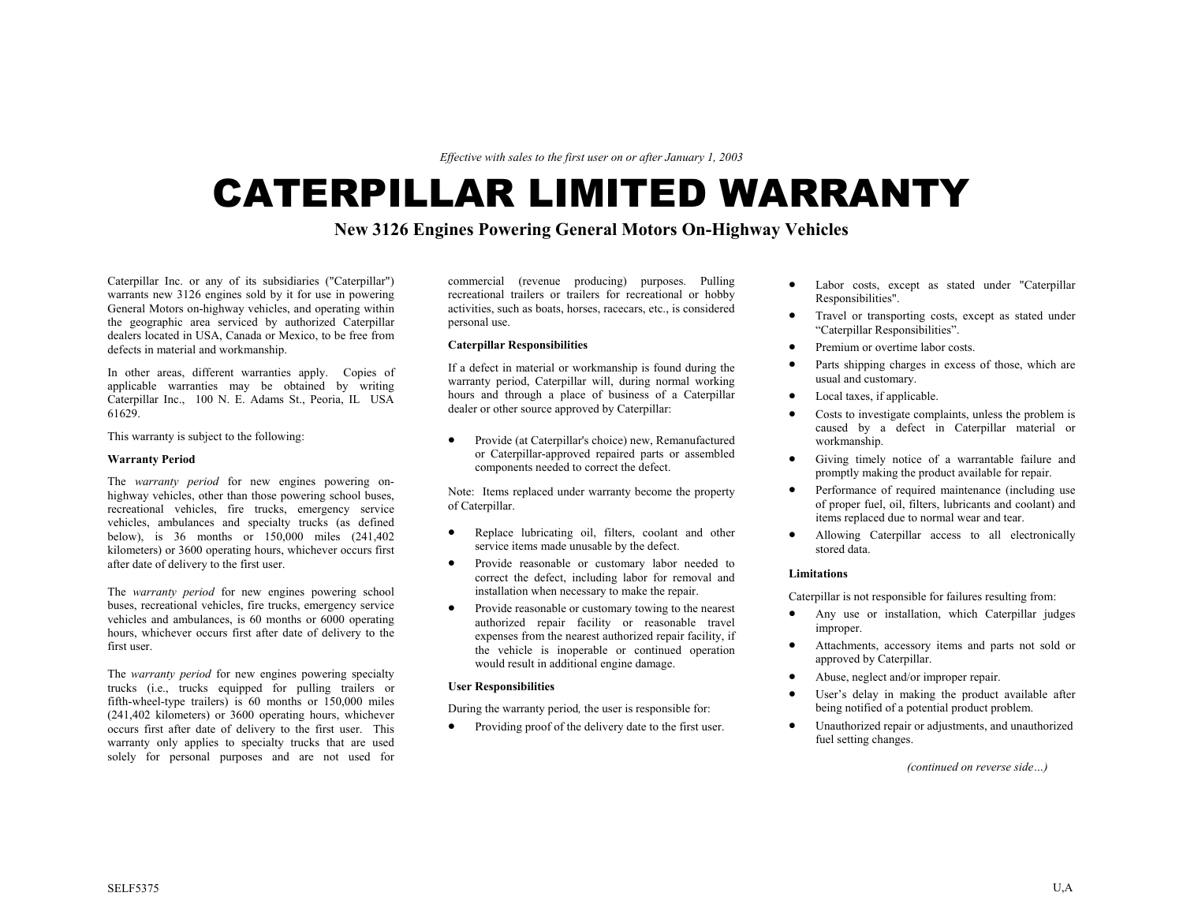*Effective with sales to the first user on or after January 1, 2003* 

# CATERPILLAR LIMITED WARRANTY

# **New 3126 Engines Powering General Motors On-Highway Vehicles**

Caterpillar Inc. or any of its subsidiaries ("Caterpillar") warrants new 3126 engines sold by it for use in powering General Motors on-highway vehicles, and operating within the geographic area serviced by authorized Caterpillar dealers located in USA, Canada or Mexico, to be free from defects in material and workmanship.

In other areas, different warranties apply. Copies of applicable warranties may be obtained by writing Caterpillar Inc., 100 N. E. Adams St., Peoria, IL USA 61629.

This warranty is subject to the following:

### **Warranty Period**

The *warranty period* for new engines powering onhighway vehicles, other than those powering school buses, recreational vehicles, fire trucks, emergency service vehicles, ambulances and specialty trucks (as defined below), is 36 months or 150,000 miles (241,402 kilometers) or 3600 operating hours, whichever occurs first after date of delivery to the first user.

The *warranty period* for new engines powering school buses, recreational vehicles, fire trucks, emergency service vehicles and ambulances, is 60 months or 6000 operating hours, whichever occurs first after date of delivery to the first user.

The *warranty period* for new engines powering specialty trucks (i.e., trucks equipped for pulling trailers or fifth-wheel-type trailers) is 60 months or 150,000 miles (241,402 kilometers) or 3600 operating hours, whichever occurs first after date of delivery to the first user. This warranty only applies to specialty trucks that are used solely for personal purposes and are not used for

commercial (revenue producing) purposes. Pulling recreational trailers or trailers for recreational or hobby activities, such as boats, horses, racecars, etc., is considered personal use.

If a defect in material or workmanship is found during the warranty period, Caterpillar will, during normal working hours and through a place of business of a Caterpillar dealer or other source approved by Caterpillar:

• Provide (at Caterpillar's choice) new, Remanufactured workmanship. or Caterpillar-approved repaired parts or assembled components needed to correct the defect.

Note: Items replaced under warranty become the property of Caterpillar.

- Replace lubricating oil, filters, coolant and other service items made unusable by the defect.
- Provide reasonable or customary labor needed to correct the defect, including labor for removal and installation when necessary to make the repair.
- Provide reasonable or customary towing to the nearest authorized repair facility or reasonable travel expenses from the nearest authorized repair facility, if the vehicle is inoperable or continued operation would result in additional engine damage.

During the warranty period, the user is responsible for:

• Providing proof of the delivery date to the first user.

- Labor costs, except as stated under "Caterpillar Responsibilities".
- Travel or transporting costs, except as stated under "Caterpillar Responsibilities".
- **Caterpillar Responsibilities and the sponsibilities is a spanned of the expansion of Premium or overtime labor costs.** 
	- Parts shipping charges in excess of those, which are usual and customary.
	- Local taxes, if applicable.
	- Costs to investigate complaints, unless the problem is caused by a defect in Caterpillar material or
	- Giving timely notice of a warrantable failure and promptly making the product available for repair.
	- Performance of required maintenance (including use of proper fuel, oil, filters, lubricants and coolant) and items replaced due to normal wear and tear.
	- Allowing Caterpillar access to all electronically stored data.

## **Limitations**

Caterpillar is not responsible for failures resulting from:

- Any use or installation, which Caterpillar judges improper.
- Attachments, accessory items and parts not sold or approved by Caterpillar.
- 
- **Abuse, neglect and/or improper repair.**<br>  **Buser's delay in making the product available after**<br>  **User's delay in making the product available after**<br>  **User's delay in making the product available after**<br>  **User's** 
	- Unauthorized repair or adjustments, and unauthorized fuel setting changes.

*(continued on reverse side…)*